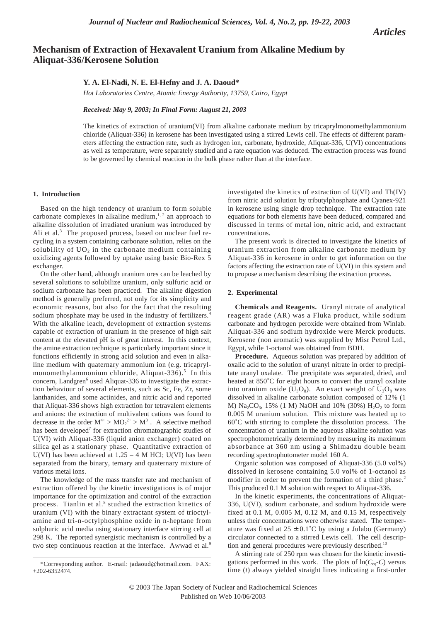*Articles*

# **Mechanism of Extraction of Hexavalent Uranium from Alkaline Medium by Aliquat-336/Kerosene Solution**

# **Y. A. El-Nadi, N. E. El-Hefny and J. A. Daoud\***

*Hot Laboratories Centre, Atomic Energy Authority, 13759, Cairo, Egypt*

*Received: May 9, 2003; In Final Form: August 21, 2003*

The kinetics of extraction of uranium(VI) from alkaline carbonate medium by tricaprylmonomethylammonium chloride (Aliquat-336) in kerosene has been investigated using a stirred Lewis cell. The effects of different parameters affecting the extraction rate, such as hydrogen ion, carbonate, hydroxide, Aliquat-336, U(VI) concentrations as well as temperature, were separately studied and a rate equation was deduced. The extraction process was found to be governed by chemical reaction in the bulk phase rather than at the interface.

### **1. Introduction**

Based on the high tendency of uranium to form soluble carbonate complexes in alkaline medium, $1, 2$  an approach to alkaline dissolution of irradiated uranium was introduced by Ali et al.<sup>3</sup> The proposed process, based on nuclear fuel recycling in a system containing carbonate solution, relies on the solubility of  $UO<sub>2</sub>$  in the carbonate medium containing oxidizing agents followed by uptake using basic Bio-Rex 5 exchanger.

On the other hand, although uranium ores can be leached by several solutions to solubilize uranium, only sulfuric acid or sodium carbonate has been practiced. The alkaline digestion method is generally preferred, not only for its simplicity and economic reasons, but also for the fact that the resulting sodium phosphate may be used in the industry of fertilizers.<sup>4</sup> With the alkaline leach, development of extraction systems capable of extraction of uranium in the presence of high salt content at the elevated pH is of great interest. In this context, the amine extraction technique is particularly important since it functions efficiently in strong acid solution and even in alkaline medium with quaternary ammonium ion (e.g. tricaprylmonomethylammonium chloride, Aliquat-336).<sup>5</sup> In this concern, Landgren $<sup>6</sup>$  used Aliquat-336 to investigate the extrac-</sup> tion behaviour of several elements, such as Sc, Fe, Zr, some lanthanides, and some actinides, and nitric acid and reported that Aliquat-336 shows high extraction for tetravalent elements and anions: the extraction of multivalent cations was found to decrease in the order  $M^{4+} > MO_2^{2+} > M^{3+}$ . A selective method has been developed<sup>7</sup> for extraction chromatographic studies of U(VI) with Aliquat-336 (liquid anion exchanger) coated on silica gel as a stationary phase. Quantitative extraction of U(VI) has been achieved at  $1.25 - 4$  M HCl; U(VI) has been separated from the binary, ternary and quaternary mixture of various metal ions.

The knowledge of the mass transfer rate and mechanism of extraction offered by the kinetic investigations is of major importance for the optimization and control of the extraction process. Tianlin et al.<sup>8</sup> studied the extraction kinetics of uranium (VI) with the binary extractant system of trioctylamine and tri-n-octylphosphine oxide in n-heptane from sulphuric acid media using stationary interface stirring cell at 298 K. The reported synergistic mechanism is controlled by a two step continuous reaction at the interface. Awwad et al.<sup>9</sup>

investigated the kinetics of extraction of U(VI) and Th(IV) from nitric acid solution by tributylphosphate and Cyanex-921 in kerosene using single drop technique. The extraction rate equations for both elements have been deduced, compared and discussed in terms of metal ion, nitric acid, and extractant concentrations.

The present work is directed to investigate the kinetics of uranium extraction from alkaline carbonate medium by Aliquat-336 in kerosene in order to get information on the factors affecting the extraction rate of U(VI) in this system and to propose a mechanism describing the extraction process.

### **2. Experimental**

**Chemicals and Reagents.** Uranyl nitrate of analytical reagent grade (AR) was a Fluka product, while sodium carbonate and hydrogen peroxide were obtained from Winlab. Aliquat-336 and sodium hydroxide were Merck products. Kerosene (non aromatic) was supplied by Misr Petrol Ltd., Egypt, while 1-octanol was obtained from BDH.

**Procedure.** Aqueous solution was prepared by addition of oxalic acid to the solution of uranyl nitrate in order to precipitate uranyl oxalate. The precipitate was separated, dried, and heated at 850˚C for eight hours to convert the uranyl oxalate into uranium oxide  $(U_3O_8)$ . An exact weight of  $U_3O_8$  was dissolved in alkaline carbonate solution composed of 12% (1 M) Na<sub>2</sub>CO<sub>3</sub>, 15% (1 M) NaOH and 10% (30%) H<sub>2</sub>O<sub>2</sub> to form 0.005 M uranium solution. This mixture was heated up to 60˚C with stirring to complete the dissolution process. The concentration of uranium in the aqueous alkaline solution was spectrophotometrically determined by measuring its maximum absorbance at 360 nm using a Shimadzu double beam recording spectrophotometer model 160 A.

Organic solution was composed of Aliquat-336 (5.0 vol%) dissolved in kerosene containing 5.0 vol% of 1-octanol as modifier in order to prevent the formation of a third phase.<sup>2</sup> This produced 0.1 M solution with respect to Aliquat-336.

In the kinetic experiments, the concentrations of Aliquat-336, U(VI), sodium carbonate, and sodium hydroxide were fixed at 0.1 M, 0.005 M, 0.12 M, and 0.15 M, respectively unless their concentrations were otherwise stated. The temperature was fixed at  $25 \pm 0.1^{\circ}$ C by using a Julabo (Germany) circulator connected to a stirred Lewis cell. The cell description and general procedures were previously described.<sup>10</sup>

A stirring rate of 250 rpm was chosen for the kinetic investigations performed in this work. The plots of  $ln(C_{eq}-C)$  versus time (*t*) always yielded straight lines indicating a first-order

<sup>\*</sup>Corresponding author. E-mail: jadaoud@hotmail.com. FAX:  $+202 - 6352474.$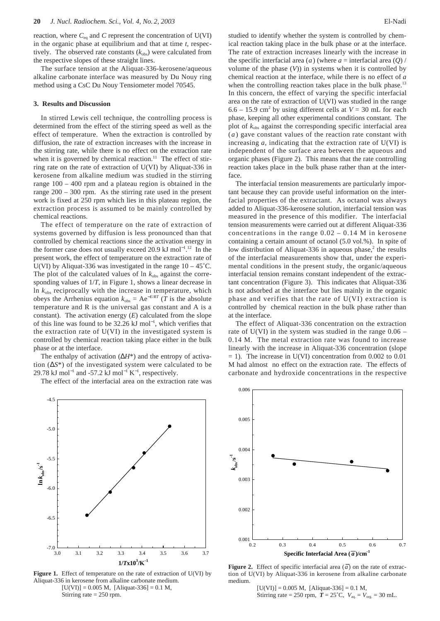reaction, where  $C_{eq}$  and  $C$  represent the concentration of  $U(VI)$ in the organic phase at equilibrium and that at time *t*, respectively. The observed rate constants  $(k_{obs})$  were calculated from the respective slopes of these straight lines.

The surface tension at the Aliquat-336-kerosene/aqueous alkaline carbonate interface was measured by Du Nouy ring method using a CsC Du Nouy Tensiometer model 70545.

#### **3. Results and Discussion**

In stirred Lewis cell technique, the controlling process is determined from the effect of the stirring speed as well as the effect of temperature. When the extraction is controlled by diffusion, the rate of extraction increases with the increase in the stirring rate, while there is no effect on the extraction rate when it is governed by chemical reaction.<sup>11</sup> The effect of stirring rate on the rate of extraction of U(VI) by Aliquat-336 in kerosene from alkaline medium was studied in the stirring range 100 – 400 rpm and a plateau region is obtained in the range 200 – 300 rpm. As the stirring rate used in the present work is fixed at 250 rpm which lies in this plateau region, the extraction process is assumed to be mainly controlled by chemical reactions.

The effect of temperature on the rate of extraction of systems governed by diffusion is less pronounced than that controlled by chemical reactions since the activation energy in the former case does not usually exceed 20.9 kJ mol<sup>-1 12</sup> In the present work, the effect of temperature on the extraction rate of U(VI) by Aliquat-336 was investigated in the range  $10 - 45^{\circ}$ C. The plot of the calculated values of  $\ln k_{\text{obs}}$  against the corresponding values of 1/*T*, in Figure 1, shows a linear decrease in ln *k*obs reciprocally with the increase in temperature, which obeys the Arrhenius equation  $k_{obs} = Ae^{-E/RT}$  (*T* is the absolute temperature and R is the universal gas constant and A is a constant). The activation energy (*E*) calculated from the slope of this line was found to be 32.26 kJ mol<sup>-1</sup>, which verifies that the extraction rate of U(VI) in the investigated system is controlled by chemical reaction taking place either in the bulk phase or at the interface.

The enthalpy of activation (∆*H*\*) and the entropy of activation (∆*S*\*) of the investigated system were calculated to be 29.78 kJ mol<sup>-1</sup> and -57.2 kJ mol<sup>-1</sup> K<sup>-1</sup>, respectively.

The effect of the interfacial area on the extraction rate was



Figure 1. Effect of temperature on the rate of extraction of U(VI) by Aliquat-336 in kerosene from alkaline carbonate medium.  $[U(VI)] = 0.005 M$ , [Aliquat-336] = 0.1 M, Stirring rate  $= 250$  rpm.

studied to identify whether the system is controlled by chemical reaction taking place in the bulk phase or at the interface. The rate of extraction increases linearly with the increase in the specific interfacial area  $(\overline{a})$  (where  $\overline{a}$  = interfacial area (*Q*) / volume of the phase (*V*)) in systems when it is controlled by chemical reaction at the interface, while there is no effect of  $\overline{a}$ when the controlling reaction takes place in the bulk phase. $13$ In this concern, the effect of varying the specific interfacial area on the rate of extraction of U(VI) was studied in the range 6.6 – 15.9 cm<sup>2</sup> by using different cells at  $V = 30$  mL for each phase, keeping all other experimental conditions constant. The plot of  $k_{obs}$  against the corresponding specific interfacial area  $(\overline{a})$  gave constant values of the reaction rate constant with increasing  $\overline{a}$ , indicating that the extraction rate of U(VI) is independent of the surface area between the aqueous and organic phases (Figure 2). This means that the rate controlling reaction takes place in the bulk phase rather than at the interface.

The interfacial tension measurements are particularly important because they can provide useful information on the interfacial properties of the extractant. As octanol was always added to Aliquat-336-kerosene solution, interfacial tension was measured in the presence of this modifier. The interfacial tension measurements were carried out at different Aliquat-336 concentrations in the range  $0.02 - 0.14$  M in kerosene containing a certain amount of octanol (5.0 vol.%). In spite of low distribution of Aliquat-336 in aqueous phase, $2$  the results of the interfacial measurements show that, under the experimental conditions in the present study, the organic/aqueous interfacial tension remains constant independent of the extractant concentration (Figure 3). This indicates that Aliquat-336 is not adsorbed at the interface but lies mainly in the organic phase and verifies that the rate of U(VI) extraction is controlled by chemical reaction in the bulk phase rather than at the interface.

The effect of Aliquat-336 concentration on the extraction rate of  $U(VI)$  in the system was studied in the range  $0.06 -$ 0.14 M. The metal extraction rate was found to increase linearly with the increase in Aliquat-336 concentration (slope  $= 1$ ). The increase in U(VI) concentration from 0.002 to 0.01 M had almost no effect on the extraction rate. The effects of carbonate and hydroxide concentrations in the respective



**Figure 2.** Effect of specific interfacial area  $(\overline{a})$  on the rate of extraction of U(VI) by Aliquat-336 in kerosene from alkaline carbonate medium.

 $[U(VI)] = 0.005 M$ , [Aliquat-336] = 0.1 M, Stirring rate = 250 rpm,  $T = 25^{\circ}C$ ,  $V_{\text{aq}} = V_{\text{org}} = 30 \text{ mL}$ .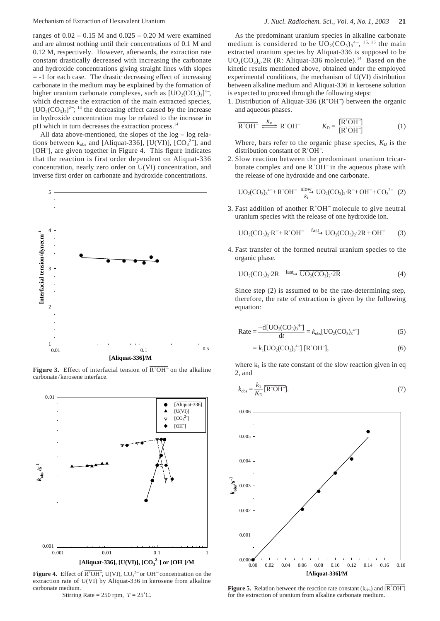ranges of 0.02 – 0.15 M and 0.025 – 0.20 M were examined and are almost nothing until their concentrations of 0.1 M and 0.12 M, respectively. However, afterwards, the extraction rate constant drastically decreased with increasing the carbonate and hydroxide concentrations giving straight lines with slopes  $= -1$  for each case. The drastic decreasing effect of increasing carbonate in the medium may be explained by the formation of higher uranium carbonate complexes, such as  $[UO_2(CO_3)_3]^4$ <sup>-</sup>, which decrease the extraction of the main extracted species.  $[UO<sub>2</sub>(CO<sub>3</sub>)<sub>2</sub>]<sup>2–</sup>;$  <sup>14</sup> the decreasing effect caused by the increase in hydroxide concentration may be related to the increase in pH which in turn decreases the extraction process.<sup>14</sup>

All data above-mentioned, the slopes of the log – log relations between  $k_{obs}$  and [Aliquat-336], [U(VI)], [CO<sub>3</sub><sup>2-</sup>], and [OH<sup>-</sup>], are given together in Figure 4. This figure indicates that the reaction is first order dependent on Aliquat-336 concentration, nearly zero order on U(VI) concentration, and inverse first order on carbonate and hydroxide concentrations.



**Figure 3.** Effect of interfacial tension of  $\overline{R^+OH^-}$  on the alkaline carbonate/kerosene interface.



**Figure 4.** Effect of  $\overline{R^+OH^-}$ , U(VI),  $CO_3^{2-}$  or OH<sup>-</sup> concentration on the extraction rate of U(VI) by Aliquat-336 in kerosene from alkaline carbonate medium.

Stirring Rate =  $250$  rpm,  $T = 25^{\circ}$ C.

As the predominant uranium species in alkaline carbonate medium is considered to be  $UO_2(CO_3)_3^{4-}$ , <sup>15, 16</sup> the main extracted uranium species by Aliquat-336 is supposed to be  $UO<sub>2</sub>(CO<sub>3</sub>)<sub>2</sub>$ . 2R (R: Aliquat-336 molecule).<sup>14</sup> Based on the kinetic results mentioned above, obtained under the employed experimental conditions, the mechanism of U(VI) distribution between alkaline medium and Aliquat-336 in kerosene solution is expected to proceed through the following steps:

1. Distribution of Aliquat-336 (R<sup>+</sup>OH<sup>-</sup>) between the organic and aqueous phases.

$$
\overline{R^+OH^-} \xrightarrow{K_D} R^+OH^- \qquad K_D = \frac{[R^+OH^-]}{[R^+OH^-]}
$$
 (1)

Where, bars refer to the organic phase species,  $K<sub>D</sub>$  is the distribution constant of R<sup>+</sup>OH<sup>-</sup>.

2. Slow reaction between the predominant uranium tricarbonate complex and one R<sup>+</sup>OH<sup>−</sup> in the aqueous phase with the release of one hydroxide and one carbonate.

$$
UO_2(CO_3)_3^{4-} + R^+OH^- \xrightarrow[k_1]{slow} UO_2(CO_3)_2 \cdot R^- + OH^- + CO_3^{2-}
$$
 (2)

3. Fast addition of another R<sup>+</sup>OH<sup>−</sup> molecule to give neutral uranium species with the release of one hydroxide ion.

$$
UO2(CO3)2 \cdot R- + R+OH- \xrightarrow{\text{fast}} UO2(CO3)2 \cdot 2R + OH-
$$
 (3)

4. Fast transfer of the formed neutral uranium species to the organic phase.

UO2(CO3)2·2R → UO2(CO3)2·2R (4) fast

Since step (2) is assumed to be the rate-determining step, therefore, the rate of extraction is given by the following equation:

Rate 
$$
=\frac{-d[UO_2(CO_3)_3^{4-}]}{dt} = k_{obs}[UO_2(CO_3)_3^{4-}]
$$
 (5)

$$
=k_1[{\rm UO}_2({\rm CO}_3)_3^{4-}] [R^+OH^-],\tag{6}
$$

where  $k_1$  is the rate constant of the slow reaction given in eq 2, and

$$
k_{\text{obs}} = \frac{k_1}{K_{\text{D}}} \overline{[\mathbf{R}^+ \mathbf{O} \mathbf{H}^-]}.
$$
\n<sup>(7)</sup>



**Figure 5.** Relation between the reaction rate constant  $(k_{obs})$  and  $\overline{[R^+OH^-]}$ for the extraction of uranium from alkaline carbonate medium.